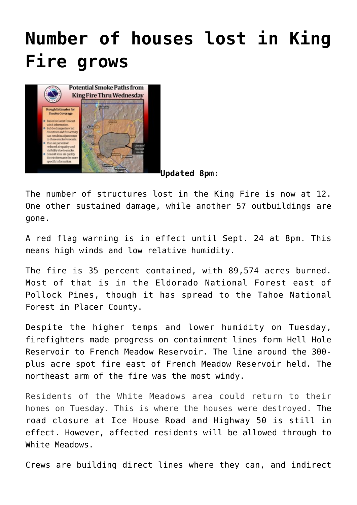## **[Number of houses lost in King](https://www.laketahoenews.net/2014/09/king-fire-35-contained-winds-to-increase/) [Fire grows](https://www.laketahoenews.net/2014/09/king-fire-35-contained-winds-to-increase/)**



**[U](https://www.laketahoenews.net/wp-content/uploads/2014/09/king-smoke-chart.jpg)pdated 8pm:**

The number of structures lost in the King Fire is now at 12. One other sustained damage, while another 57 outbuildings are gone.

A red flag warning is in effect until Sept. 24 at 8pm. This means high winds and low relative humidity.

The fire is 35 percent contained, with 89,574 acres burned. Most of that is in the Eldorado National Forest east of Pollock Pines, though it has spread to the Tahoe National Forest in Placer County.

Despite the higher temps and lower humidity on Tuesday, firefighters made progress on containment lines form Hell Hole Reservoir to French Meadow Reservoir. The line around the 300 plus acre spot fire east of French Meadow Reservoir held. The northeast arm of the fire was the most windy.

Residents of the White Meadows area could return to their homes on Tuesday. This is where the houses were destroyed. The road closure at Ice House Road and Highway 50 is still in effect. However, affected residents will be allowed through to White Meadows.

Crews are building direct lines where they can, and indirect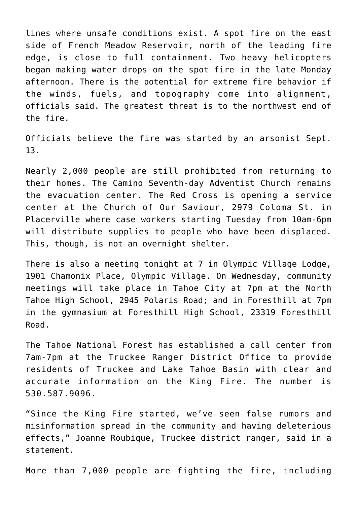lines where unsafe conditions exist. A spot fire on the east side of French Meadow Reservoir, north of the leading fire edge, is close to full containment. Two heavy helicopters began making water drops on the spot fire in the late Monday afternoon. There is the potential for extreme fire behavior if the winds, fuels, and topography come into alignment, officials said. The greatest threat is to the northwest end of the fire.

Officials believe the fire was started by an arsonist Sept. 13.

Nearly 2,000 people are still prohibited from returning to their homes. The Camino Seventh-day Adventist Church remains the evacuation center. The Red Cross is opening a service center at the Church of Our Saviour, 2979 Coloma St. in Placerville where case workers starting Tuesday from 10am-6pm will distribute supplies to people who have been displaced. This, though, is not an overnight shelter.

There is also a meeting tonight at 7 in Olympic Village Lodge, 1901 Chamonix Place, Olympic Village. On Wednesday, community meetings will take place in Tahoe City at 7pm at the North Tahoe High School, 2945 Polaris Road; and in Foresthill at 7pm in the gymnasium at Foresthill High School, 23319 Foresthill Road.

The Tahoe National Forest has established a call center from 7am-7pm at the Truckee Ranger District Office to provide residents of Truckee and Lake Tahoe Basin with clear and accurate information on the King Fire. The number is 530.587.9096.

"Since the King Fire started, we've seen false rumors and misinformation spread in the community and having deleterious effects," Joanne Roubique, Truckee district ranger, said in a statement.

More than 7,000 people are fighting the fire, including